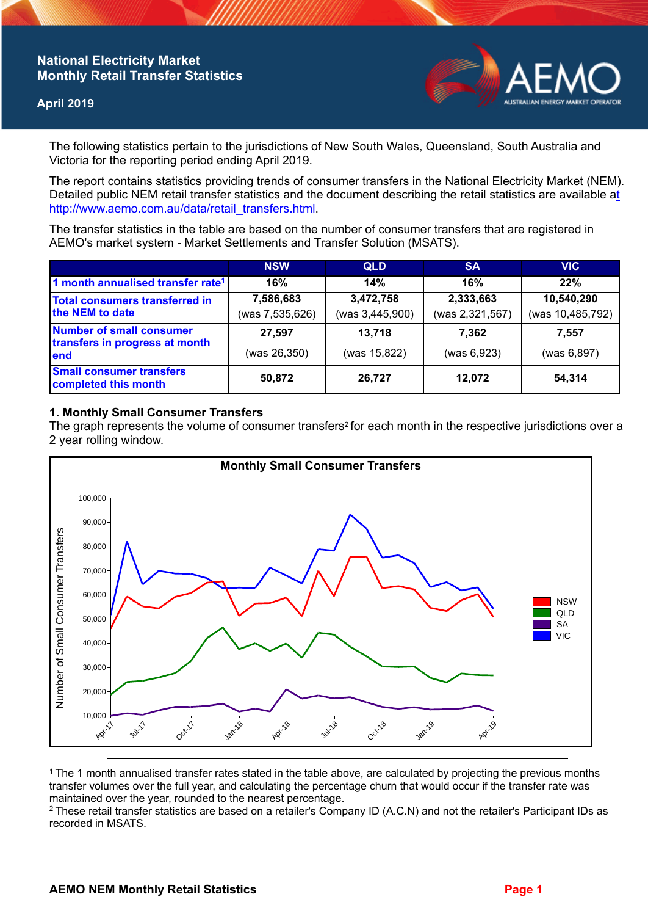# **National Electricity Market Monthly Retail Transfer Statistics**

### **April 2019**



The following statistics pertain to the jurisdictions of New South Wales, Queensland, South Australia and Victoria for the reporting period ending April 2019.

The report contains statistics providing trends of consumer transfers in the National Electricity Market (NEM). Detailed public NEM retail transfer statistics and the document describing the retail statistics are available a[t](http://www.aemo.com.au/data/retail_transfers.html)  http://www.aemo.com.au/data/retail\_transfers.html

The transfer statistics in the table are based on the number of consumer transfers that are registered in AEMO's market system - Market Settlements and Transfer Solution (MSATS).

|                                                                    | <b>NSW</b>                   | <b>QLD</b>                   | <b>SA</b>                    | <b>VIC</b>                     |
|--------------------------------------------------------------------|------------------------------|------------------------------|------------------------------|--------------------------------|
| 1 month annualised transfer rate <sup>1</sup>                      | 16%                          | 14%                          | 16%                          | 22%                            |
| Total consumers transferred in<br>the NEM to date                  | 7,586,683<br>(was 7,535,626) | 3,472,758<br>(was 3,445,900) | 2,333,663<br>(was 2,321,567) | 10,540,290<br>(was 10,485,792) |
| Number of small consumer<br>transfers in progress at month<br>lend | 27,597<br>(was 26,350)       | 13,718<br>(was 15,822)       | 7.362<br>(was 6,923)         | 7.557<br>(was 6,897)           |
| <b>Small consumer transfers</b><br>completed this month            | 50,872                       | 26,727                       | 12.072                       | 54,314                         |

### **1. Monthly Small Consumer Transfers**

The graph represents the volume of consumer transfers<sup>2</sup> for each month in the respective jurisdictions over a 2 year rolling window.



<sup>1</sup>The 1 month annualised transfer rates stated in the table above, are calculated by projecting the previous months transfer volumes over the full year, and calculating the percentage churn that would occur if the transfer rate was maintained over the year, rounded to the nearest percentage.

<sup>2</sup> These retail transfer statistics are based on a retailer's Company ID (A.C.N) and not the retailer's Participant IDs as recorded in MSATS.